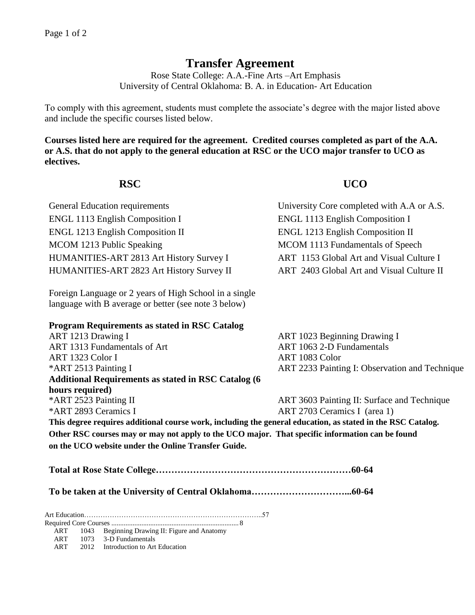# **Transfer Agreement**

Rose State College: A.A.-Fine Arts –Art Emphasis University of Central Oklahoma: B. A. in Education- Art Education

To comply with this agreement, students must complete the associate's degree with the major listed above and include the specific courses listed below.

**Courses listed here are required for the agreement. Credited courses completed as part of the A.A. or A.S. that do not apply to the general education at RSC or the UCO major transfer to UCO as electives.**

## **RSC UCO**

| University Core completed with A.A or A.S. |
|--------------------------------------------|
| <b>ENGL 1113 English Composition I</b>     |
| <b>ENGL 1213 English Composition II</b>    |
| MCOM 1113 Fundamentals of Speech           |
| ART 1153 Global Art and Visual Culture I   |
| ART 2403 Global Art and Visual Culture II  |
|                                            |

Foreign Language or 2 years of High School in a single language with B average or better (see note 3 below)

## **Program Requirements as stated in RSC Catalog**

| ART 1213 Drawing I                                                                                          | ART 1023 Beginning Drawing I                   |  |  |  |
|-------------------------------------------------------------------------------------------------------------|------------------------------------------------|--|--|--|
| ART 1313 Fundamentals of Art                                                                                | ART 1063 2-D Fundamentals                      |  |  |  |
| ART 1323 Color I                                                                                            | ART 1083 Color                                 |  |  |  |
| *ART 2513 Painting I                                                                                        | ART 2233 Painting I: Observation and Technique |  |  |  |
| <b>Additional Requirements as stated in RSC Catalog (6)</b>                                                 |                                                |  |  |  |
| hours required)                                                                                             |                                                |  |  |  |
| *ART 2523 Painting II                                                                                       | ART 3603 Painting II: Surface and Technique    |  |  |  |
| *ART 2893 Ceramics I                                                                                        | ART 2703 Ceramics I (area 1)                   |  |  |  |
| This degree requires additional course work, including the general education, as stated in the RSC Catalog. |                                                |  |  |  |

**Other RSC courses may or may not apply to the UCO major. That specific information can be found on the UCO website under the Online Transfer Guide.**

**Total at Rose State College………………………………………………………60-64**

**To be taken at the University of Central Oklahoma…………………………...60-64**

Art Education…………………………………………………………………..57

Required Core Courses ........................................................................ 8 ART 1043 Beginning Drawing II: Figure and Anatomy

ART 1073 3-D Fundamentals

ART 2012 Introduction to Art Education